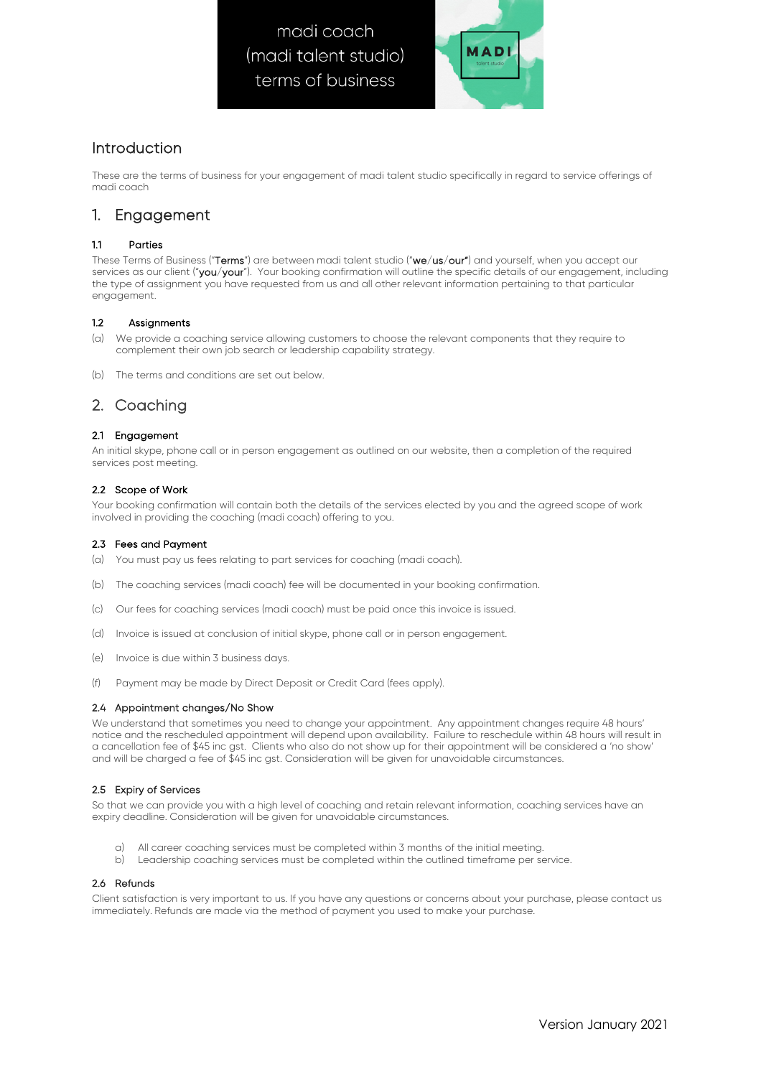madi coach (madi talent studio) terms of business



## Introduction

These are the terms of business for your engagement of madi talent studio specifically in regard to service offerings of madi coach

# 1. Engagement

### 1.1 Parties

These Terms of Business ("Terms") are between madi talent studio ("we/us/our") and yourself, when you accept our services as our client ("you/your"). Your booking confirmation will outline the specific details of our engagement, including the type of assignment you have requested from us and all other relevant information pertaining to that particular engagement.

#### 1.2 Assignments

- (a) We provide a coaching service allowing customers to choose the relevant components that they require to complement their own job search or leadership capability strategy.
- (b) The terms and conditions are set out below.

## 2. Coaching

### 2.1 Engagement

An initial skype, phone call or in person engagement as outlined on our website, then a completion of the required services post meeting.

#### 2.2 Scope of Work

Your booking confirmation will contain both the details of the services elected by you and the agreed scope of work involved in providing the coaching (madi coach) offering to you.

#### 2.3 Fees and Payment

- (a) You must pay us fees relating to part services for coaching (madi coach).
- (b) The coaching services (madi coach) fee will be documented in your booking confirmation.
- (c) Our fees for coaching services (madi coach) must be paid once this invoice is issued.
- (d) Invoice is issued at conclusion of initial skype, phone call or in person engagement.
- (e) Invoice is due within 3 business days.
- (f) Payment may be made by Direct Deposit or Credit Card (fees apply).

#### 2.4 Appointment changes/No Show

We understand that sometimes you need to change your appointment. Any appointment changes require 48 hours' notice and the rescheduled appointment will depend upon availability. Failure to reschedule within 48 hours will result in a cancellation fee of \$45 inc gst. Clients who also do not show up for their appointment will be considered a 'no show' and will be charged a fee of \$45 inc gst. Consideration will be given for unavoidable circumstances.

#### 2.5 Expiry of Services

So that we can provide you with a high level of coaching and retain relevant information, coaching services have an expiry deadline. Consideration will be given for unavoidable circumstances.

- a) All career coaching services must be completed within 3 months of the initial meeting.
- b) Leadership coaching services must be completed within the outlined timeframe per service.

#### 2.6 Refunds

Client satisfaction is very important to us. If you have any questions or concerns about your purchase, please contact us immediately. Refunds are made via the method of payment you used to make your purchase.